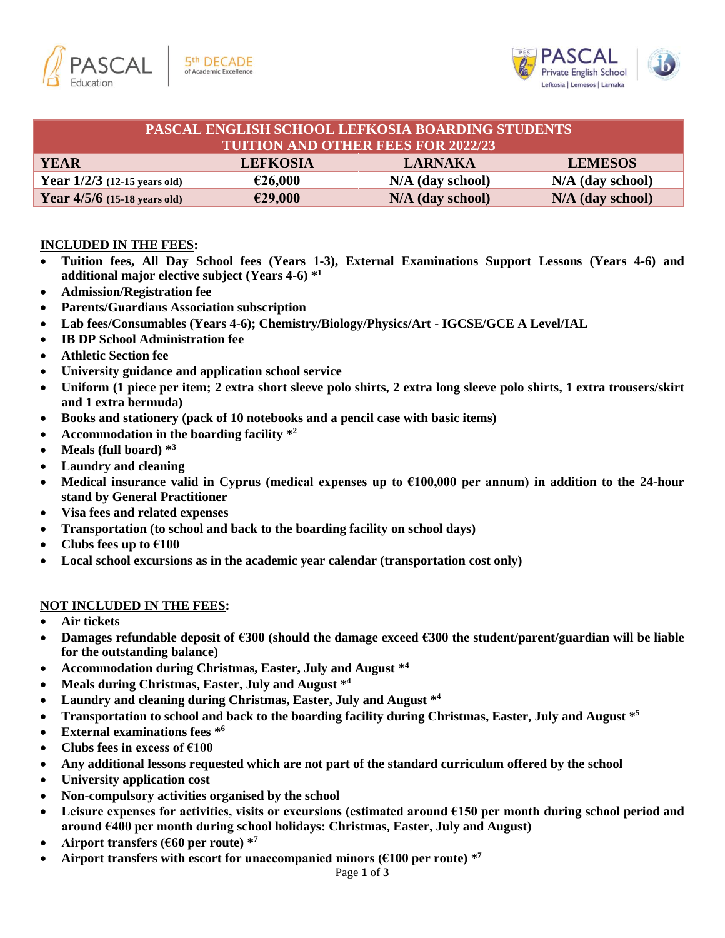



| <b>PASCAL ENGLISH SCHOOL LEFKOSIA BOARDING STUDENTS</b> |                 |                    |                    |
|---------------------------------------------------------|-----------------|--------------------|--------------------|
| <b>TUITION AND OTHER FEES FOR 2022/23</b>               |                 |                    |                    |
| <b>YEAR</b>                                             | <b>LEFKOSIA</b> | <b>LARNAKA</b>     | <b>LEMESOS</b>     |
| Year $1/2/3$ (12-15 years old)                          | €26,000         | $N/A$ (day school) | $N/A$ (day school) |
| Year $4/5/6$ (15-18 years old)                          | €29,000         | $N/A$ (day school) | N/A (day school)   |

## **INCLUDED IN THE FEES:**

- **Tuition fees, All Day School fees (Years 1-3), External Examinations Support Lessons (Years 4-6) and additional major elective subject (Years 4-6) \* 1**
- **Admission/Registration fee**
- **Parents/Guardians Association subscription**
- **Lab fees/Consumables (Years 4-6); Chemistry/Biology/Physics/Art - IGCSE/GCE A Level/IAL**
- **IB DP School Administration fee**
- **Athletic Section fee**
- **University guidance and application school service**
- **Uniform (1 piece per item; 2 extra short sleeve polo shirts, 2 extra long sleeve polo shirts, 1 extra trousers/skirt and 1 extra bermuda)**
- **Books and stationery (pack of 10 notebooks and a pencil case with basic items)**
- **Accommodation in the boarding facility \* 2**
- **Meals (full board) \* 3**
- **Laundry and cleaning**
- **Medical insurance valid in Cyprus (medical expenses up to €100,000 per annum) in addition to the 24-hour stand by General Practitioner**
- **Visa fees and related expenses**
- **Transportation (to school and back to the boarding facility on school days)**
- **Clubs fees up to**  $€100$
- **Local school excursions as in the academic year calendar (transportation cost only)**

## **NOT INCLUDED IN THE FEES:**

- **Air tickets**
- **Damages refundable deposit of €300 (should the damage exceed €300 the student/parent/guardian will be liable for the outstanding balance)**
- **Accommodation during Christmas, Easter, July and August \* 4**
- **Meals during Christmas, Easter, July and August \* 4**
- **Laundry and cleaning during Christmas, Easter, July and August \* 4**
- **Transportation to school and back to the boarding facility during Christmas, Easter, July and August \*<sup>5</sup>**
- **External examinations fees \*<sup>6</sup>**
- **Clubs fees in excess of €100**
- **Any additional lessons requested which are not part of the standard curriculum offered by the school**
- **University application cost**
- **Non-compulsory activities organised by the school**
- **Leisure expenses for activities, visits or excursions (estimated around €150 per month during school period and around €400 per month during school holidays: Christmas, Easter, July and August)**
- **Airport transfers (€60 per route) \* 7**
- **Airport transfers with escort for unaccompanied minors (€100 per route) \* 7**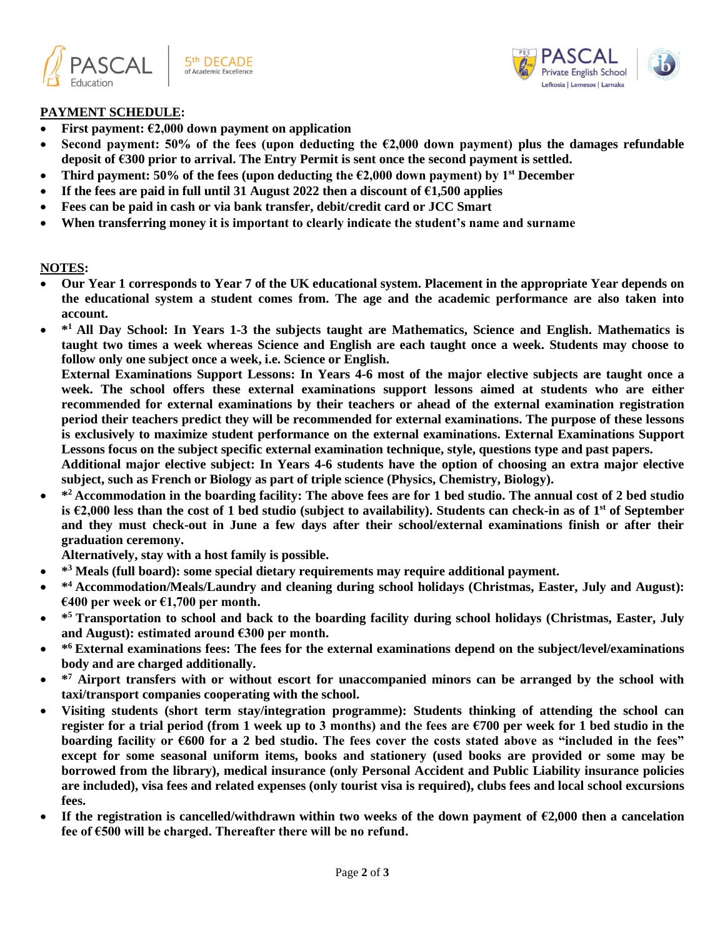



## **PAYMENT SCHEDULE:**

- **First payment:**  $\epsilon$ **2,000 down payment on application**
- **Second payment: 50% of the fees (upon deducting the €2,000 down payment) plus the damages refundable deposit of €300 prior to arrival. The Entry Permit is sent once the second payment is settled.**
- **Third payment: 50% of the fees (upon deducting the**  $\epsilon$ **2,000 down payment) by 1<sup>st</sup> December**
- **If the fees are paid in full until 31 August 2022 then a discount of €1,500 applies**
- **Fees can be paid in cash or via bank transfer, debit/credit card or JCC Smart**
- **When transferring money it is important to clearly indicate the student's name and surname**

## **NOTES:**

- **Our Year 1 corresponds to Year 7 of the UK educational system. Placement in the appropriate Year depends on the educational system a student comes from. The age and the academic performance are also taken into account.**
- **\* <sup>1</sup>All Day School: In Years 1-3 the subjects taught are Mathematics, Science and English. Mathematics is taught two times a week whereas Science and English are each taught once a week. Students may choose to follow only one subject once a week, i.e. Science or English.**

**External Examinations Support Lessons: In Years 4-6 most of the major elective subjects are taught once a week. The school offers these external examinations support lessons aimed at students who are either recommended for external examinations by their teachers or ahead of the external examination registration period their teachers predict they will be recommended for external examinations. The purpose of these lessons is exclusively to maximize student performance on the external examinations. External Examinations Support Lessons focus on the subject specific external examination technique, style, questions type and past papers.** 

**Additional major elective subject: In Years 4-6 students have the option of choosing an extra major elective subject, such as French or Biology as part of triple science (Physics, Chemistry, Biology).**

• **\* <sup>2</sup>Accommodation in the boarding facility: The above fees are for 1 bed studio. The annual cost of 2 bed studio**  is  $€2,000$  less than the cost of 1 bed studio (subject to availability). Students can check-in as of 1<sup>st</sup> of September **and they must check-out in June a few days after their school/external examinations finish or after their graduation ceremony.** 

**Alternatively, stay with a host family is possible.**

- **\* <sup>3</sup> Meals (full board): some special dietary requirements may require additional payment.**
- **\* <sup>4</sup> Accommodation/Meals/Laundry and cleaning during school holidays (Christmas, Easter, July and August): €400 per week or €1,700 per month.**
- **\* <sup>5</sup> Transportation to school and back to the boarding facility during school holidays (Christmas, Easter, July and August): estimated around €300 per month.**
- **\* <sup>6</sup> External examinations fees: The fees for the external examinations depend on the subject/level/examinations body and are charged additionally.**
- **\* <sup>7</sup> Airport transfers with or without escort for unaccompanied minors can be arranged by the school with taxi/transport companies cooperating with the school.**
- **Visiting students (short term stay/integration programme): Students thinking of attending the school can register for a trial period (from 1 week up to 3 months) and the fees are €700 per week for 1 bed studio in the boarding facility or €600 for a 2 bed studio. The fees cover the costs stated above as "included in the fees" except for some seasonal uniform items, books and stationery (used books are provided or some may be borrowed from the library), medical insurance (only Personal Accident and Public Liability insurance policies are included), visa fees and related expenses (only tourist visa is required), clubs fees and local school excursions fees.**
- **If the registration is cancelled/withdrawn within two weeks of the down payment of €2,000 then a cancelation fee of €500 will be charged. Thereafter there will be no refund.**